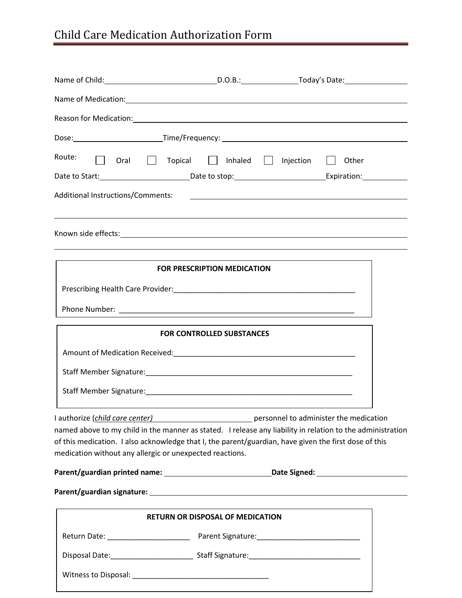## Child Care Medication Authorization Form

| Route:                                                                                                                                                                                                                                                                                                             |                                         | Oral Topical Inhaled I Injection I Other                                               |  |
|--------------------------------------------------------------------------------------------------------------------------------------------------------------------------------------------------------------------------------------------------------------------------------------------------------------------|-----------------------------------------|----------------------------------------------------------------------------------------|--|
|                                                                                                                                                                                                                                                                                                                    |                                         |                                                                                        |  |
|                                                                                                                                                                                                                                                                                                                    |                                         |                                                                                        |  |
|                                                                                                                                                                                                                                                                                                                    |                                         |                                                                                        |  |
|                                                                                                                                                                                                                                                                                                                    | <b>FOR PRESCRIPTION MEDICATION</b>      |                                                                                        |  |
|                                                                                                                                                                                                                                                                                                                    |                                         |                                                                                        |  |
|                                                                                                                                                                                                                                                                                                                    |                                         |                                                                                        |  |
|                                                                                                                                                                                                                                                                                                                    | <b>FOR CONTROLLED SUBSTANCES</b>        |                                                                                        |  |
|                                                                                                                                                                                                                                                                                                                    |                                         |                                                                                        |  |
|                                                                                                                                                                                                                                                                                                                    |                                         |                                                                                        |  |
|                                                                                                                                                                                                                                                                                                                    |                                         |                                                                                        |  |
| I authorize (child care center)<br>named above to my child in the manner as stated. I release any liability in relation to the administration<br>of this medication. I also acknowledge that I, the parent/guardian, have given the first dose of this<br>medication without any allergic or unexpected reactions. |                                         | ersonnel to administer the medication professor personnel to administer the medication |  |
| Parent/guardian printed name: __________________________________Date Signed: _______________________                                                                                                                                                                                                               |                                         |                                                                                        |  |
|                                                                                                                                                                                                                                                                                                                    |                                         |                                                                                        |  |
|                                                                                                                                                                                                                                                                                                                    | <b>RETURN OR DISPOSAL OF MEDICATION</b> |                                                                                        |  |
|                                                                                                                                                                                                                                                                                                                    |                                         |                                                                                        |  |
|                                                                                                                                                                                                                                                                                                                    |                                         |                                                                                        |  |
|                                                                                                                                                                                                                                                                                                                    |                                         |                                                                                        |  |